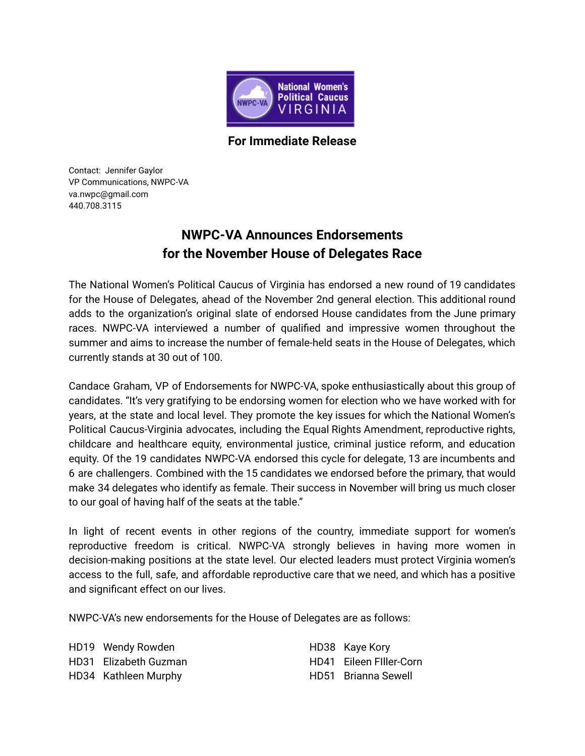

**For Immediate Release**

Contact: Jennifer Gaylor VP Communications, NWPC-VA va.nwpc@gmail.com 440.708.3115

## **NWPC-VA Announces Endorsements for the November House of Delegates Race**

The National Women's Political Caucus of Virginia has endorsed a new round of 19 candidates for the House of Delegates, ahead of the November 2nd general election. This additional round adds to the organization's original slate of endorsed House candidates from the June primary races. NWPC-VA interviewed a number of qualified and impressive women throughout the summer and aims to increase the number of female-held seats in the House of Delegates, which currently stands at 30 out of 100.

Candace Graham, VP of Endorsements for NWPC-VA, spoke enthusiastically about this group of candidates. "It's very gratifying to be endorsing women for election who we have worked with for years, at the state and local level. They promote the key issues for which the National Women's Political Caucus-Virginia advocates, including the Equal Rights Amendment, reproductive rights, childcare and healthcare equity, environmental justice, criminal justice reform, and education equity. Of the 19 candidates NWPC-VA endorsed this cycle for delegate, 13 are incumbents and 6 are challengers. Combined with the 15 candidates we endorsed before the primary, that would make 34 delegates who identify as female. Their success in November will bring us much closer to our goal of having half of the seats at the table."

In light of recent events in other regions of the country, immediate support for women's reproductive freedom is critical. NWPC-VA strongly believes in having more women in decision-making positions at the state level. Our elected leaders must protect Virginia women's access to the full, safe, and affordable reproductive care that we need, and which has a positive and significant effect on our lives.

NWPC-VA's new endorsements for the House of Delegates are as follows:

HD19 Wendy Rowden HD31 Elizabeth Guzman HD34 Kathleen Murphy

HD38 Kaye Kory HD41 Eileen FIller-Corn HD51 Brianna Sewell